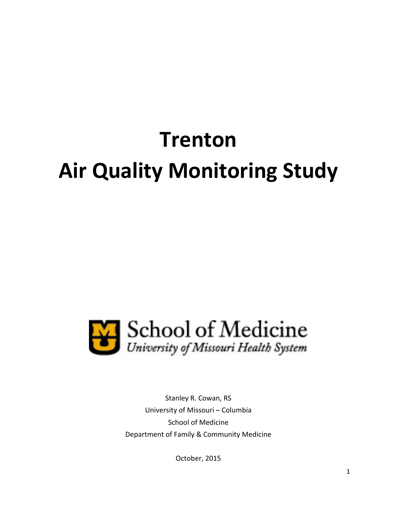# **Trenton Air Quality Monitoring Study**



Stanley R. Cowan, RS University of Missouri – Columbia School of Medicine Department of Family & Community Medicine

October, 2015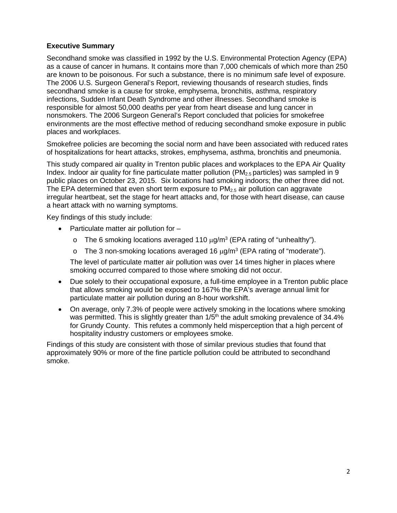# **Executive Summary**

Secondhand smoke was classified in 1992 by the U.S. Environmental Protection Agency (EPA) as a cause of cancer in humans. It contains more than 7,000 chemicals of which more than 250 are known to be poisonous. For such a substance, there is no minimum safe level of exposure. The 2006 U.S. Surgeon General's Report, reviewing thousands of research studies, finds secondhand smoke is a cause for stroke, emphysema, bronchitis, asthma, respiratory infections, Sudden Infant Death Syndrome and other illnesses. Secondhand smoke is responsible for almost 50,000 deaths per year from heart disease and lung cancer in nonsmokers. The 2006 Surgeon General's Report concluded that policies for smokefree environments are the most effective method of reducing secondhand smoke exposure in public places and workplaces.

Smokefree policies are becoming the social norm and have been associated with reduced rates of hospitalizations for heart attacks, strokes, emphysema, asthma, bronchitis and pneumonia.

This study compared air quality in Trenton public places and workplaces to the EPA Air Quality Index. Indoor air quality for fine particulate matter pollution  $(PM<sub>2.5</sub>$  particles) was sampled in 9 public places on October 23, 2015. Six locations had smoking indoors; the other three did not. The EPA determined that even short term exposure to  $PM<sub>2.5</sub>$  air pollution can aggravate irregular heartbeat, set the stage for heart attacks and, for those with heart disease, can cause a heart attack with no warning symptoms.

Key findings of this study include:

- Particulate matter air pollution for
	- o The 6 smoking locations averaged 110  $\mu$ g/m<sup>3</sup> (EPA rating of "unhealthy").
	- $\circ$  The 3 non-smoking locations averaged 16  $\mu q/m^3$  (EPA rating of "moderate").

The level of particulate matter air pollution was over 14 times higher in places where smoking occurred compared to those where smoking did not occur.

- Due solely to their occupational exposure, a full-time employee in a Trenton public place that allows smoking would be exposed to 167% the EPA's average annual limit for particulate matter air pollution during an 8-hour workshift.
- On average, only 7.3% of people were actively smoking in the locations where smoking was permitted. This is slightly greater than  $1/5<sup>th</sup>$  the adult smoking prevalence of 34.4% for Grundy County. This refutes a commonly held misperception that a high percent of hospitality industry customers or employees smoke.

Findings of this study are consistent with those of similar previous studies that found that approximately 90% or more of the fine particle pollution could be attributed to secondhand smoke.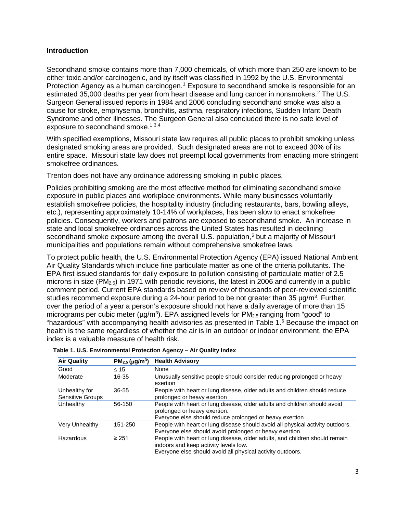## **Introduction**

Secondhand smoke contains more than 7,000 chemicals, of which more than 250 are known to be either toxic and/or carcinogenic, and by itself was classified in 1992 by the U.S. Environmental Protection Agency as a human carcinogen.<sup>[1](#page-4-0)</sup> Exposure to secondhand smoke is responsible for an estimated 35,000 deaths per year from heart disease and lung cancer in nonsmokers.<sup>[2](#page-4-1)</sup> The U.S. Surgeon General issued reports in 1984 and 2006 concluding secondhand smoke was also a cause for stroke, emphysema, bronchitis, asthma, respiratory infections, Sudden Infant Death Syndrome and other illnesses. The Surgeon General also concluded there is no safe level of exposure to secondhand smoke.<sup>1,[3](#page-4-2),[4](#page-4-3)</sup>

With specified exemptions, Missouri state law requires all public places to prohibit smoking unless designated smoking areas are provided. Such designated areas are not to exceed 30% of its entire space. Missouri state law does not preempt local governments from enacting more stringent smokefree ordinances.

Trenton does not have any ordinance addressing smoking in public places.

Policies prohibiting smoking are the most effective method for eliminating secondhand smoke exposure in public places and workplace environments. While many businesses voluntarily establish smokefree policies, the hospitality industry (including restaurants, bars, bowling alleys, etc.), representing approximately 10-14% of workplaces, has been slow to enact smokefree policies. Consequently, workers and patrons are exposed to secondhand smoke. An increase in state and local smokefree ordinances across the United States has resulted in declining secondhand smoke exposure among the overall U.S. population, [5](#page-4-4) but a majority of Missouri municipalities and populations remain without comprehensive smokefree laws.

To protect public health, the U.S. Environmental Protection Agency (EPA) issued National Ambient Air Quality Standards which include fine particulate matter as one of the criteria pollutants. The EPA first issued standards for daily exposure to pollution consisting of particulate matter of 2.5 microns in size ( $PM_{2.5}$ ) in 1971 with periodic revisions, the latest in 2006 and currently in a public comment period. Current EPA standards based on review of thousands of peer-reviewed scientific studies recommend exposure during a 24-hour period to be not greater than 35 µg/m<sup>3</sup>. Further, over the period of a year a person's exposure should not have a daily average of more than 15 micrograms per cubic meter ( $\mu$ g/m<sup>3</sup>). EPA assigned levels for PM<sub>2.5</sub> ranging from "good" to "hazardous" with accompanying health advisories as presented in Table 1. [6](#page-4-5) Because the impact on health is the same regardless of whether the air is in an outdoor or indoor environment, the EPA index is a valuable measure of health risk.

| <b>Air Quality</b>                | $PM_{2.5}$ (µg/m <sup>3</sup> ) | <b>Health Advisory</b>                                                                                                                                                             |
|-----------------------------------|---------------------------------|------------------------------------------------------------------------------------------------------------------------------------------------------------------------------------|
| Good                              | $\leq 15$                       | None                                                                                                                                                                               |
| Moderate                          | $16 - 35$                       | Unusually sensitive people should consider reducing prolonged or heavy<br>exertion                                                                                                 |
| Unhealthy for<br>Sensitive Groups | 36-55                           | People with heart or lung disease, older adults and children should reduce<br>prolonged or heavy exertion                                                                          |
| Unhealthy                         | 56-150                          | People with heart or lung disease, older adults and children should avoid<br>prolonged or heavy exertion.<br>Everyone else should reduce prolonged or heavy exertion               |
| <b>Very Unhealthy</b>             | 151-250                         | People with heart or lung disease should avoid all physical activity outdoors.<br>Everyone else should avoid prolonged or heavy exertion.                                          |
| Hazardous                         | $\geq 251$                      | People with heart or lung disease, older adults, and children should remain<br>indoors and keep activity levels low.<br>Everyone else should avoid all physical activity outdoors. |

 **Table 1. U.S. Environmental Protection Agency – Air Quality Index**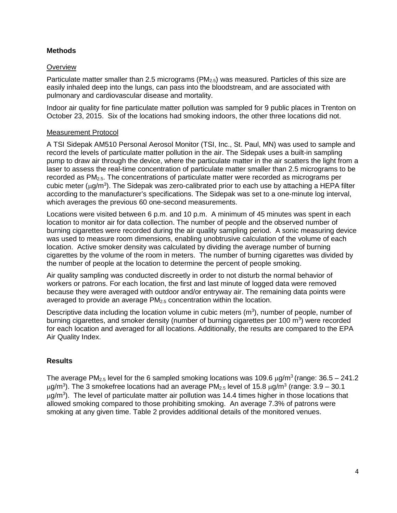# **Methods**

## **Overview**

Particulate matter smaller than 2.5 micrograms ( $PM_{2.5}$ ) was measured. Particles of this size are easily inhaled deep into the lungs, can pass into the bloodstream, and are associated with pulmonary and cardiovascular disease and mortality.

Indoor air quality for fine particulate matter pollution was sampled for 9 public places in Trenton on October 23, 2015. Six of the locations had smoking indoors, the other three locations did not.

#### Measurement Protocol

A TSI Sidepak AM510 Personal Aerosol Monitor (TSI, Inc., St. Paul, MN) was used to sample and record the levels of particulate matter pollution in the air. The Sidepak uses a built-in sampling pump to draw air through the device, where the particulate matter in the air scatters the light from a laser to assess the real-time concentration of particulate matter smaller than 2.5 micrograms to be recorded as  $PM<sub>2.5</sub>$ . The concentrations of particulate matter were recorded as micrograms per cubic meter ( $\mu$ g/m<sup>3</sup>). The Sidepak was zero-calibrated prior to each use by attaching a HEPA filter according to the manufacturer's specifications. The Sidepak was set to a one-minute log interval, which averages the previous 60 one-second measurements.

Locations were visited between 6 p.m. and 10 p.m. A minimum of 45 minutes was spent in each location to monitor air for data collection. The number of people and the observed number of burning cigarettes were recorded during the air quality sampling period. A sonic measuring device was used to measure room dimensions, enabling unobtrusive calculation of the volume of each location. Active smoker density was calculated by dividing the average number of burning cigarettes by the volume of the room in meters. The number of burning cigarettes was divided by the number of people at the location to determine the percent of people smoking.

Air quality sampling was conducted discreetly in order to not disturb the normal behavior of workers or patrons. For each location, the first and last minute of logged data were removed because they were averaged with outdoor and/or entryway air. The remaining data points were averaged to provide an average  $PM<sub>2.5</sub>$  concentration within the location.

Descriptive data including the location volume in cubic meters  $(m^3)$ , number of people, number of burning cigarettes, and smoker density (number of burning cigarettes per 100 m<sup>3</sup>) were recorded for each location and averaged for all locations. Additionally, the results are compared to the EPA Air Quality Index.

## **Results**

The average PM<sub>2.5</sub> level for the 6 sampled smoking locations was 109.6  $\mu$ g/m<sup>3</sup> (range: 36.5 – 241.2)  $\mu$ g/m $^3$ ). The 3 smokefree locations had an average PM $_{2.5}$  level of 15.8  $\mu$ g/m $^3$  (range: 3.9 – 30.1  $\mu$ g/m<sup>3</sup>). The level of particulate matter air pollution was 14.4 times higher in those locations that allowed smoking compared to those prohibiting smoking. An average 7.3% of patrons were smoking at any given time. Table 2 provides additional details of the monitored venues.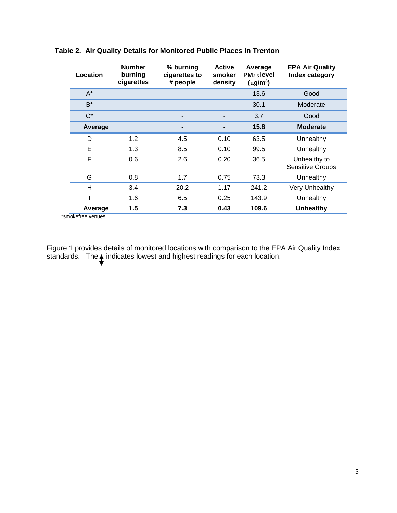| Location | <b>Number</b><br>burning<br>cigarettes | % burning<br>cigarettes to<br># people | <b>Active</b><br>smoker<br>density | Average<br>$PM2.5$ level<br>(µg/m <sup>3</sup> ) | <b>EPA Air Quality</b><br>Index category |
|----------|----------------------------------------|----------------------------------------|------------------------------------|--------------------------------------------------|------------------------------------------|
| $A^*$    |                                        |                                        |                                    | 13.6                                             | Good                                     |
| B*       |                                        |                                        |                                    | 30.1                                             | Moderate                                 |
| $C^*$    |                                        |                                        |                                    | 3.7                                              | Good                                     |
| Average  |                                        |                                        |                                    | 15.8                                             | <b>Moderate</b>                          |
| D        | 1.2                                    | 4.5                                    | 0.10                               | 63.5                                             | Unhealthy                                |
| Е        | 1.3                                    | 8.5                                    | 0.10                               | 99.5                                             | Unhealthy                                |
| F        | 0.6                                    | 2.6                                    | 0.20                               | 36.5                                             | Unhealthy to<br><b>Sensitive Groups</b>  |
| G        | 0.8                                    | 1.7                                    | 0.75                               | 73.3                                             | Unhealthy                                |
| H        | 3.4                                    | 20.2                                   | 1.17                               | 241.2                                            | Very Unhealthy                           |
|          | 1.6                                    | 6.5                                    | 0.25                               | 143.9                                            | Unhealthy                                |
| Average  | 1.5                                    | 7.3                                    | 0.43                               | 109.6                                            | <b>Unhealthy</b>                         |

# **Table 2. Air Quality Details for Monitored Public Places in Trenton**

\*smokefree venues

<span id="page-4-5"></span><span id="page-4-4"></span><span id="page-4-3"></span><span id="page-4-2"></span><span id="page-4-1"></span><span id="page-4-0"></span>Figure 1 provides details of monitored locations with comparison to the EPA Air Quality Index standards. The  $\blacktriangle$  indicates lowest and highest readings for each location.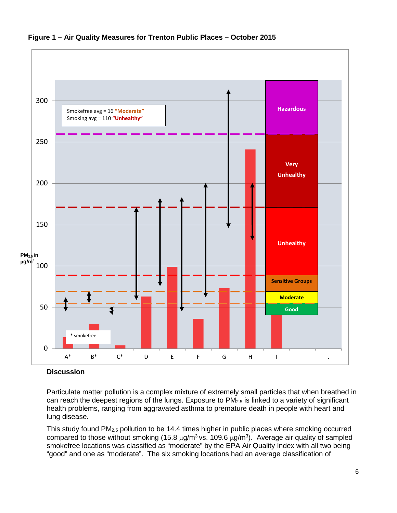<span id="page-5-13"></span><span id="page-5-12"></span><span id="page-5-11"></span><span id="page-5-10"></span><span id="page-5-9"></span><span id="page-5-8"></span><span id="page-5-7"></span>

**Figure 1 – Air Quality Measures for Trenton Public Places – October 2015**

#### <span id="page-5-2"></span><span id="page-5-1"></span><span id="page-5-0"></span>**Discussion**

<span id="page-5-3"></span>Particulate matter pollution is a complex mixture of extremely small particles that when breathed in can reach the deepest regions of the lungs. Exposure to  $PM<sub>2.5</sub>$  is linked to a variety of significant health problems, ranging from aggravated asthma to premature death in people with heart and lung disease.

<span id="page-5-6"></span><span id="page-5-5"></span><span id="page-5-4"></span>This study found PM2.5 pollution to be 14.4 times higher in public places where smoking occurred compared to those without smoking (15.8  $\mu$ g/m<sup>3</sup> vs. 109.6  $\mu$ g/m<sup>3</sup>). Average air quality of sampled smokefree locations was classified as "moderate" by the EPA Air Quality Index with all two being "good" and one as "moderate". The six smoking locations had an average classification of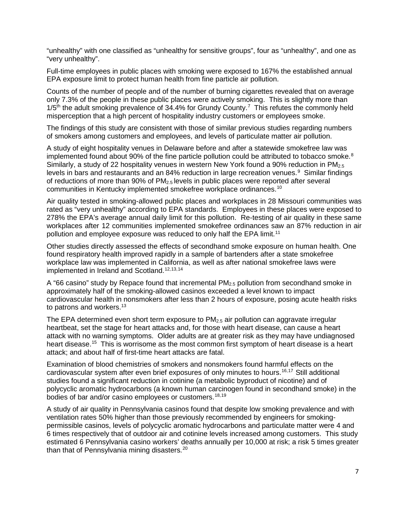"unhealthy" with one classified as "unhealthy for sensitive groups", four as "unhealthy", and one as "very unhealthy".

Full-time employees in public places with smoking were exposed to 167% the established annual EPA exposure limit to protect human health from fine particle air pollution.

Counts of the number of people and of the number of burning cigarettes revealed that on average only 7.3% of the people in these public places were actively smoking. This is slightly more than  $1/5<sup>th</sup>$  the adult smoking prevalence of 34.4% for Grundy County.<sup>[7](#page-5-0)</sup> This refutes the commonly held misperception that a high percent of hospitality industry customers or employees smoke.

The findings of this study are consistent with those of similar previous studies regarding numbers of smokers among customers and employees, and levels of particulate matter air pollution.

<span id="page-6-0"></span>A study of eight hospitality venues in Delaware before and after a statewide smokefree law was implemented found about 90% of the fine particle pollution could be attributed to tobacco smoke.<sup>[8](#page-5-1)</sup> Similarly, a study of 22 hospitality venues in western New York found a 90% reduction in  $PM_{2.5}$ levels in bars and restaurants and an 84% reduction in large recreation venues.<sup>[9](#page-5-2)</sup> Similar findings of reductions of more than 90% of PM2.5 levels in public places were reported after several communities in Kentucky implemented smokefree workplace ordinances.[10](#page-5-3)

<span id="page-6-3"></span><span id="page-6-2"></span><span id="page-6-1"></span>Air quality tested in smoking-allowed public places and workplaces in 28 Missouri communities was rated as "very unhealthy" according to EPA standards. Employees in these places were exposed to 278% the EPA's average annual daily limit for this pollution. Re-testing of air quality in these same workplaces after 12 communities implemented smokefree ordinances saw an 87% reduction in air pollution and employee exposure was reduced to only half the EPA limit.<sup>[11](#page-5-4)</sup>

<span id="page-6-5"></span><span id="page-6-4"></span>Other studies directly assessed the effects of secondhand smoke exposure on human health. One found respiratory health improved rapidly in a sample of bartenders after a state smokefree workplace law was implemented in California, as well as after national smokefree laws were implemented in Ireland and Scotland.<sup>[12,](#page-5-5)[13,](#page-5-6)[14](#page-5-7)</sup>

<span id="page-6-7"></span><span id="page-6-6"></span>A "66 casino" study by Repace found that incremental  $PM_{2.5}$  pollution from secondhand smoke in approximately half of the smoking-allowed casinos exceeded a level known to impact cardiovascular health in nonsmokers after less than 2 hours of exposure, posing acute health risks to patrons and workers.<sup>13</sup>

<span id="page-6-10"></span><span id="page-6-9"></span><span id="page-6-8"></span>The EPA determined even short term exposure to  $PM<sub>2.5</sub>$  air pollution can aggravate irregular heartbeat, set the stage for heart attacks and, for those with heart disease, can cause a heart attack with no warning symptoms. Older adults are at greater risk as they may have undiagnosed heart disease.<sup>[15](#page-5-8)</sup> This is worrisome as the most common first symptom of heart disease is a heart attack; and about half of first-time heart attacks are fatal.

<span id="page-6-12"></span><span id="page-6-11"></span>Examination of blood chemistries of smokers and nonsmokers found harmful effects on the cardiovascular system after even brief exposures of only minutes to hours.[16](#page-5-9),[17](#page-5-10) Still additional studies found a significant reduction in cotinine (a metabolic byproduct of nicotine) and of polycyclic aromatic hydrocarbons (a known human carcinogen found in secondhand smoke) in the bodies of bar and/or casino employees or customers.<sup>[18,](#page-5-11)[19](#page-5-12)</sup>

<span id="page-6-14"></span><span id="page-6-13"></span>A study of air quality in Pennsylvania casinos found that despite low smoking prevalence and with ventilation rates 50% higher than those previously recommended by engineers for smokingpermissible casinos, levels of polycyclic aromatic hydrocarbons and particulate matter were 4 and 6 times respectively that of outdoor air and cotinine levels increased among customers. This study estimated 6 Pennsylvania casino workers' deaths annually per 10,000 at risk; a risk 5 times greater than that of Pennsylvania mining disasters.<sup>[20](#page-5-13)</sup>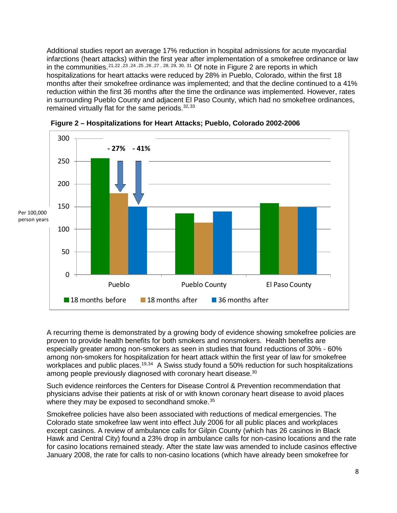Additional studies report an average 17% reduction in hospital admissions for acute myocardial infarctions (heart attacks) within the first year after implementation of a smokefree ordinance or law in the communities.<sup>[21,](#page-6-0)[22](#page-6-1), [23](#page-6-2), [24](#page-6-3), [25](#page-6-4), [26](#page-6-5), [27](#page-6-6), [28,](#page-6-7) [29,](#page-6-8) [30,](#page-6-9) 31</sup> Of note in Figure 2 are reports in which hospitalizations for heart attacks were reduced by 28% in Pueblo, Colorado, within the first 18 months after their smokefree ordinance was implemented; and that the decline continued to a 41% reduction within the first 36 months after the time the ordinance was implemented. However, rates in surrounding Pueblo County and adjacent El Paso County, which had no smokefree ordinances, remained virtually flat for the same periods.<sup>[32,](#page-6-11)33</sup>



**Figure 2 – Hospitalizations for Heart Attacks; Pueblo, Colorado 2002-2006**

A recurring theme is demonstrated by a growing body of evidence showing smokefree policies are proven to provide health benefits for both smokers and nonsmokers. Health benefits are especially greater among non-smokers as seen in studies that found reductions of 30% - 60% among non-smokers for hospitalization for heart attack within the first year of law for smokefree workplaces and public places.<sup>19,[34](#page-6-13)</sup> A Swiss study found a 50% reduction for such hospitalizations among people previously diagnosed with coronary heart disease.<sup>30</sup>

Such evidence reinforces the Centers for Disease Control & Prevention recommendation that physicians advise their patients at risk of or with known coronary heart disease to avoid places where they may be exposed to secondhand smoke.<sup>[35](#page-6-14)</sup>

<span id="page-7-0"></span>Smokefree policies have also been associated with reductions of medical emergencies. The Colorado state smokefree law went into effect July 2006 for all public places and workplaces except casinos. A review of ambulance calls for Gilpin County (which has 26 casinos in Black Hawk and Central City) found a 23% drop in ambulance calls for non-casino locations and the rate for casino locations remained steady. After the state law was amended to include casinos effective January 2008, the rate for calls to non-casino locations (which have already been smokefree for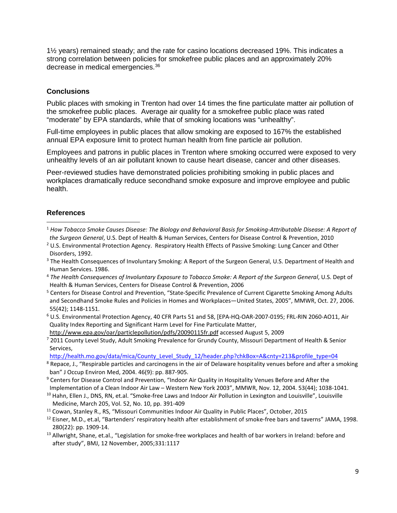1½ years) remained steady; and the rate for casino locations decreased 19%. This indicates a strong correlation between policies for smokefree public places and an approximately 20% decrease in medical emergencies.[36](#page-7-0)

#### **Conclusions**

Public places with smoking in Trenton had over 14 times the fine particulate matter air pollution of the smokefree public places. Average air quality for a smokefree public place was rated "moderate" by EPA standards, while that of smoking locations was "unhealthy".

Full-time employees in public places that allow smoking are exposed to 167% the established annual EPA exposure limit to protect human health from fine particle air pollution.

Employees and patrons in public places in Trenton where smoking occurred were exposed to very unhealthy levels of an air pollutant known to cause heart disease, cancer and other diseases.

Peer-reviewed studies have demonstrated policies prohibiting smoking in public places and workplaces dramatically reduce secondhand smoke exposure and improve employee and public health.

#### **References**

- <sup>2</sup> U.S. Environmental Protection Agency. Respiratory Health Effects of Passive Smoking: Lung Cancer and Other Disorders, 1992.
- <sup>3</sup> The Health Consequences of Involuntary Smoking: A Report of the Surgeon General, U.S. Department of Health and Human Services. 1986.
- <sup>4</sup> *The Health Consequences of Involuntary Exposure to Tobacco Smoke: A Report of the Surgeon General*, U.S. Dept of Health & Human Services, Centers for Disease Control & Prevention, 2006
- <sup>5</sup> Centers for Disease Control and Prevention, "State-Specific Prevalence of Current Cigarette Smoking Among Adults and Secondhand Smoke Rules and Policies in Homes and Workplaces—United States, 2005", MMWR, Oct. 27, 2006. 55(42); 1148-1151.
- $6$  U.S. Environmental Protection Agency, 40 CFR Parts 51 and 58, [EPA-HQ-OAR-2007-0195; FRL-RIN 2060-AO11, Air Quality Index Reporting and Significant Harm Level for Fine Particulate Matter,

<http://www.epa.gov/oar/particlepollution/pdfs/20090115fr.pdf> accessed August 5, 2009 <sup>7</sup> 2011 County Level Study, Adult Smoking Prevalence for Grundy County, Missouri Department of Health & Senior Services,

- [http://health.mo.gov/data/mica/County\\_Level\\_Study\\_12/header.php?chkBox=A&cnty=213&profile\\_type=04](http://health.mo.gov/data/mica/County_Level_Study_12/header.php?chkBox=A&cnty=213&profile_type=04) 8 Repace, J., "Respirable particles and carcinogens in the air of Delaware hospitality venues before and after a smoking ban" J Occup Environ Med, 2004. 46(9): pp. 887-905.
- <sup>9</sup> Centers for Disease Control and Prevention, "Indoor Air Quality in Hospitality Venues Before and After the Implementation of a Clean Indoor Air Law – Western New York 2003", MMWR, Nov. 12, 2004. 53(44); 1038-1041.
- <sup>10</sup> Hahn, Ellen J., DNS, RN, et.al. "Smoke-free Laws and Indoor Air Pollution in Lexington and Louisville", Louisville Medicine, March 205, Vol. 52, No. 10, pp. 391-409
- <sup>11</sup> Cowan, Stanley R., RS, "Missouri Communities Indoor Air Quality in Public Places", October, 2015<br><sup>12</sup> Eisner, M.D., et.al, "Bartenders' respiratory health after establishment of smoke-free bars and taverns" JAMA, 1998
- 280(22): pp. 1909-14.
- <sup>13</sup> Allwright, Shane, et.al., "Legislation for smoke-free workplaces and health of bar workers in Ireland: before and after study", BMJ, 12 November, 2005;331:1117

 <sup>1</sup> *How Tobacco Smoke Causes Disease: The Biology and Behavioral Basis for Smoking-Attributable Disease: A Report of the Surgeon General*, U.S. Dept of Health & Human Services, Centers for Disease Control & Prevention, 2010